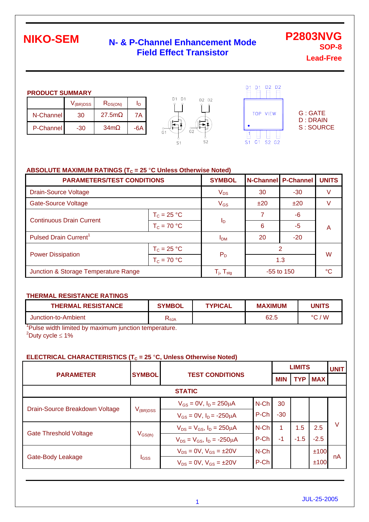### **N- & P-Channel Enhancement Mode Field Effect Transistor**

**P2803NVG SOP-8 Lead-Free**

#### **PRODUCT SUMMARY**

|                  | $V_{({\sf BR})\text{DSS}}$ | $R_{DS(ON)}$ |     |
|------------------|----------------------------|--------------|-----|
| N-Channel        | 30                         | 27.5m        | 7Α  |
| <b>P-Channel</b> | -30                        | 34m          | -6A |





G : GATE D : DRAIN S : SOURCE

#### ABSOLUTE MAXIMUM RATINGS (T<sub>C</sub> = 25 °C Unless Otherwise Noted)

| <b>PARAMETERS/TEST CONDITIONS</b>    | <b>SYMBOL</b>   |                                                        | N-Channel P-Channel | <b>UNITS</b> |    |  |
|--------------------------------------|-----------------|--------------------------------------------------------|---------------------|--------------|----|--|
| <b>Drain-Source Voltage</b>          | $V_{DS}$        | 30                                                     | $-30$               |              |    |  |
| <b>Gate-Source Voltage</b>           | $V_{GS}$        | ±20                                                    | ±20                 |              |    |  |
| <b>Continuous Drain Current</b>      | $T_c = 25 °C$   | $I_{\mathsf{D}}$                                       |                     | -6           |    |  |
|                                      | $T_c = 70 °C$   |                                                        | 6                   | -5           | A  |  |
| Pulsed Drain Current <sup>1</sup>    | I <sub>DM</sub> | 20                                                     | $-20$               |              |    |  |
|                                      | $T_c = 25 °C$   | 2                                                      |                     |              | W  |  |
| <b>Power Dissipation</b>             | $T_c = 70 °C$   | $P_D$                                                  | 1.3                 |              |    |  |
| Junction & Storage Temperature Range |                 | ${\mathsf T}_{\mathsf j},\,{\mathsf T}_{\mathsf{stg}}$ | $-55$ to 150        |              | °C |  |

#### **THERMAL RESISTANCE RATINGS**

| <b>THERMAL RESISTANCE</b> | <b>SYMBOL</b>           | <b>TYPICAL</b> | <b>MAXIMUM</b> | JNITS        |
|---------------------------|-------------------------|----------------|----------------|--------------|
| Junction-to-Ambient       | $\mathsf{R}_\mathsf{H}$ |                | 62.5           | 'W<br>$\sim$ |

<sup>1</sup>Pulse width limited by maximum junction temperature.

 $2^2$ Duty cycle  $\leq 1\%$ 

#### **ELECTRICAL CHARACTERISTICS (T<sub>c</sub> = 25 °C, Unless Otherwise Noted)**

|                                |                                 |                                        |         |            | <b>LIMITS</b> |        |    |  |
|--------------------------------|---------------------------------|----------------------------------------|---------|------------|---------------|--------|----|--|
| <b>PARAMETER</b>               | <b>SYMBOL</b>                   | <b>TEST CONDITIONS</b>                 | MIN     | <b>TYP</b> | <b>MAX</b>    |        |    |  |
|                                |                                 | <b>STATIC</b>                          |         |            |               |        |    |  |
|                                |                                 | $V_{GS} = 0V$ , $I_D = 250 \mu A$      | $N$ -Ch | 30         |               |        |    |  |
| Drain-Source Breakdown Voltage | $\mathsf{V}_{\mathsf{(BR)DSS}}$ | $V_{GS} = 0V$ , $I_D = -250 \mu A$     | P-Ch    | $-30$      |               |        |    |  |
| <b>Gate Threshold Voltage</b>  | $V_{GS(th)}$                    | $V_{DS} = V_{GS}$ , $I_D = 250 \mu A$  | $N$ -Ch | 1          | 1.5           | 2.5    | V  |  |
|                                |                                 | $V_{DS} = V_{GS}$ , $I_D = -250 \mu A$ | P-Ch    | $-1$       | $-1.5$        | $-2.5$ |    |  |
| Gate-Body Leakage              |                                 | $V_{DS} = 0V$ , $V_{GS} = \pm 20V$     | $N$ -Ch |            |               | ±100   | nA |  |
|                                | <b>I</b> GSS                    | $V_{DS} = 0V$ , $V_{GS} = \pm 20V$     | P-Ch    |            |               | ±100   |    |  |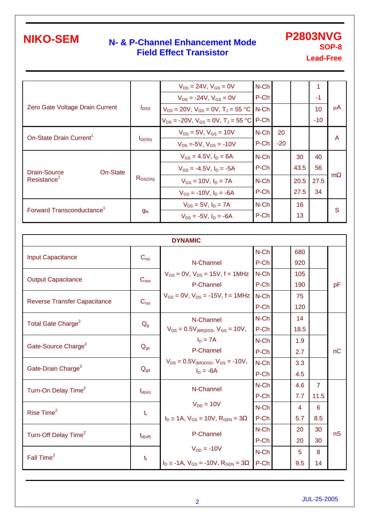### **N- & P-Channel Enhancement Mode Field Effect Transistor**

**P2803NVG SOP-8 Lead-Free**

|                                       |                  | $V_{DS} = 24V$ , $V_{GS} = 0V$                  | $N$ -Ch |       |      | 1     |    |
|---------------------------------------|------------------|-------------------------------------------------|---------|-------|------|-------|----|
|                                       |                  | $V_{DS}$ = -24V, $V_{GS}$ = 0V                  | $P-Ch$  |       |      | $-1$  |    |
| Zero Gate Voltage Drain Current       | $I_{\text{DSS}}$ | $V_{DS}$ = 20V, $V_{GS}$ = 0V, $T_J$ = 55 °C    | N-Ch    |       |      | 10    | μA |
|                                       |                  | $V_{DS}$ = -20V, $V_{GS}$ = 0V, $T_{J}$ = 55 °C | P-Ch    |       |      | $-10$ |    |
| On-State Drain Current <sup>1</sup>   |                  | $V_{DS} = 5V$ , $V_{GS} = 10V$                  | $N$ -Ch | 20    |      |       |    |
|                                       | $I_{D(ON)}$      | $V_{DS} = -5V$ , $V_{GS} = -10V$                | P-Ch    | $-20$ |      |       | A  |
|                                       |                  | $V_{GS} = 4.5V$ , $I_D = 6A$                    | $N$ -Ch |       | 30   | 40    |    |
| On-State<br>Drain-Source              |                  | $V_{GS} = -4.5V$ , $I_D = -5A$                  | P-Ch    |       | 43.5 | 56    |    |
| Resistance <sup>1</sup>               | $R_{DS(ON)}$     | $V_{GS} = 10V$ , $I_D = 7A$                     | $N$ -Ch |       | 20.5 | 27.5  | m  |
|                                       |                  | $V_{GS}$ = -10V, $I_D$ = -6A                    | P-Ch    |       | 27.5 | 34    |    |
| Forward Transconductance <sup>1</sup> |                  | $V_{DS} = 5V$ , $I_D = 7A$                      | $N$ -Ch |       | 16   |       | S  |
|                                       | $g_{fs}$         | $V_{DS} = -5V$ , $I_D = -6A$                    | P-Ch    |       | 13   |       |    |

| <b>DYNAMIC</b>                      |                     |                                                     |         |  |      |                |    |  |
|-------------------------------------|---------------------|-----------------------------------------------------|---------|--|------|----------------|----|--|
| <b>Input Capacitance</b>            |                     |                                                     | $N$ -Ch |  | 680  |                |    |  |
|                                     | $C_{iss}$           | N-Channel                                           | P-Ch    |  | 920  |                |    |  |
| <b>Output Capacitance</b>           | $C_{\rm oss}$       | $V_{GS} = 0V$ , $V_{DS} = 15V$ , $f = 1MHz$         | N-Ch    |  | 105  |                |    |  |
|                                     |                     | P-Channel                                           | P-Ch    |  | 190  |                | pF |  |
| <b>Reverse Transfer Capacitance</b> | C <sub>rss</sub>    | $V_{GS} = 0V$ , $V_{DS} = -15V$ , $f = 1MHz$        | $N$ -Ch |  | 75   |                |    |  |
|                                     |                     |                                                     | P-Ch    |  | 120  |                |    |  |
| Total Gate Charge <sup>2</sup>      | $Q_{q}$             | N-Channel                                           | $N$ -Ch |  | 14   |                |    |  |
|                                     |                     | $V_{DS} = 0.5V_{(BR)DSS}$ , $V_{GS} = 10V$ ,        | $P$ -Ch |  | 18.5 |                |    |  |
| Gate-Source Charge <sup>2</sup>     | $Q_{gs}$            | $I_D = 7A$                                          | $N$ -Ch |  | 1.9  |                |    |  |
|                                     |                     | P-Channel                                           | P-Ch    |  | 2.7  |                | nC |  |
| Gate-Drain Charge <sup>2</sup>      | $Q_{gd}$            | $V_{DS} = 0.5V_{(BR)DSS}$ , $V_{GS} = -10V$ ,       | $N$ -Ch |  | 3.3  |                |    |  |
|                                     |                     | $I_n = -6A$                                         | P-Ch    |  | 4.5  |                |    |  |
| Turn-On Delay Time <sup>2</sup>     | $t_{d(on)}$         | N-Channel                                           | $N$ -Ch |  | 4.6  | $\overline{7}$ |    |  |
|                                     |                     |                                                     | $P-Ch$  |  | 7.7  | 11.5           |    |  |
| Rise Time <sup>2</sup>              |                     | $V_{DD} = 10V$                                      | N-Ch    |  | 4    | 6              |    |  |
|                                     | $t_{\rm r}$         | $I_D \approx 1A$ , $V_{GS} = 10V$ , $R_{GEN} = 3$   | P-Ch    |  | 5.7  | 8.5            |    |  |
| Turn-Off Delay Time <sup>2</sup>    |                     | P-Channel                                           | $N$ -Ch |  | 20   | 30             | nS |  |
|                                     | $t_{d(\text{off})}$ |                                                     | P-Ch    |  | 20   | 30             |    |  |
| Fall Time <sup>2</sup>              |                     | $V_{DD} = -10V$                                     | $N$ -Ch |  | 5    | 8              |    |  |
|                                     | $t_{f}$             | $I_D \approx -1A$ , $V_{GS} = -10V$ , $R_{GFN} = 3$ | P-Ch    |  | 9.5  | 14             |    |  |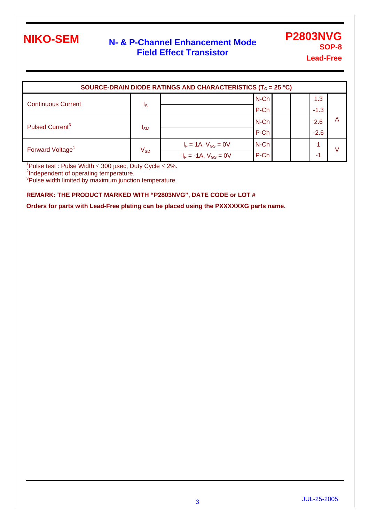### **N- & P-Channel Enhancement Mode Field Effect Transistor**

**P2803NVG SOP-8 Lead-Free**

| SOURCE-DRAIN DIODE RATINGS AND CHARACTERISTICS (T <sub>C</sub> = 25 °C) |          |                             |      |  |  |        |   |
|-------------------------------------------------------------------------|----------|-----------------------------|------|--|--|--------|---|
|                                                                         |          |                             | N-Ch |  |  | 1.3    |   |
| <b>Continuous Current</b>                                               | Is       |                             | P-Ch |  |  | $-1.3$ |   |
|                                                                         |          |                             | N-Ch |  |  | 2.6    | A |
| Pulsed Current <sup>3</sup>                                             | $I_{SM}$ |                             | P-Ch |  |  | $-2.6$ |   |
|                                                                         |          | $I_F = 1A$ , $V_{GS} = 0V$  | N-Ch |  |  |        |   |
| Forward Voltage <sup>1</sup>                                            | $V_{SD}$ | $I_F = -1A$ , $V_{GS} = 0V$ | P-Ch |  |  |        |   |

 $1$ Pulse test : Pulse Width  $\leq 300$  usec, Duty Cycle  $\leq 2\%$ .

<sup>2</sup>Independent of operating temperature.<br><sup>3</sup>Pulse width limited by maximum junction temperature.

#### **REMARK: THE PRODUCT MARKED WITH "P2803NVG", DATE CODE or LOT #**

**Orders for parts with Lead-Free plating can be placed using the PXXXXXXG parts name.**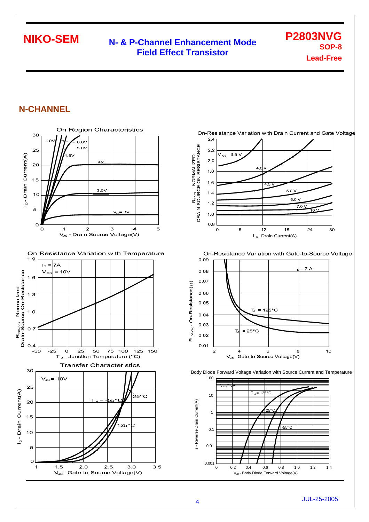#### **N- & P-Channel Enhancement Mode Field Effect Transistor**

### **P2803NVG SOP-8 Lead-Free**

#### **N-CHANNEL**

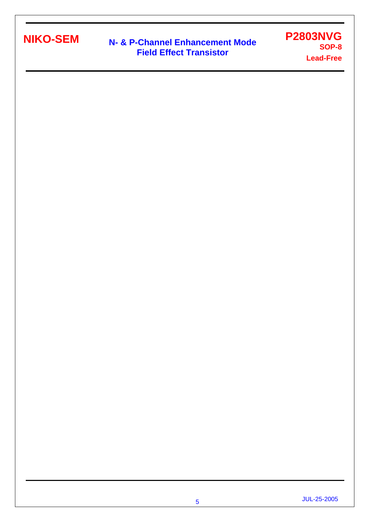### **N- & P-Channel Enhancement Mode Field Effect Transistor**

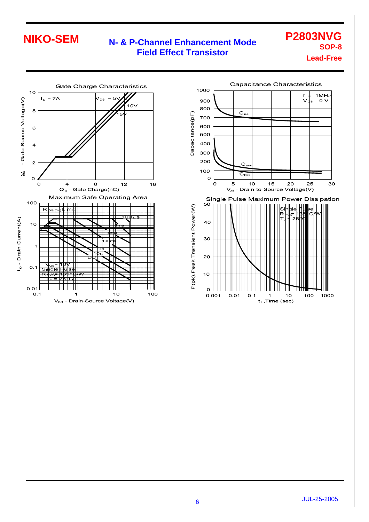#### **N- & P-Channel Enhancement Mode Field Effect Transistor**

**P2803NVG SOP-8 Lead-Free**



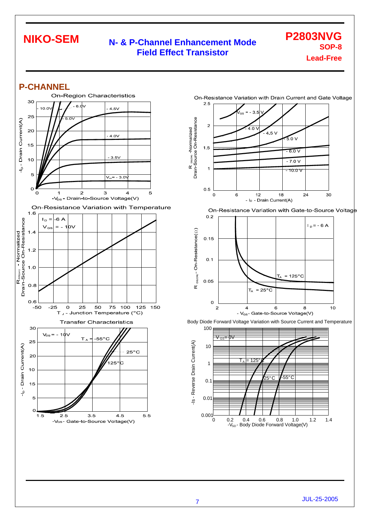#### **N- & P-Channel Enhancement Mode Field Effect Transistor**

**P2803NVG SOP-8 Lead-Free**

#### **P-CHANNEL**











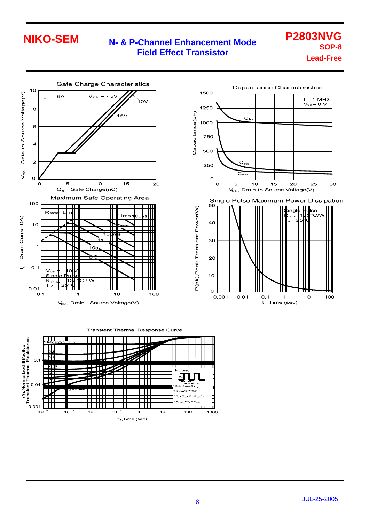#### **N- & P-Channel Enhancement Mode Field Effect Transistor**

**P2803NVG SOP-8 Lead-Free**



 $t_1$ , Time (sec)